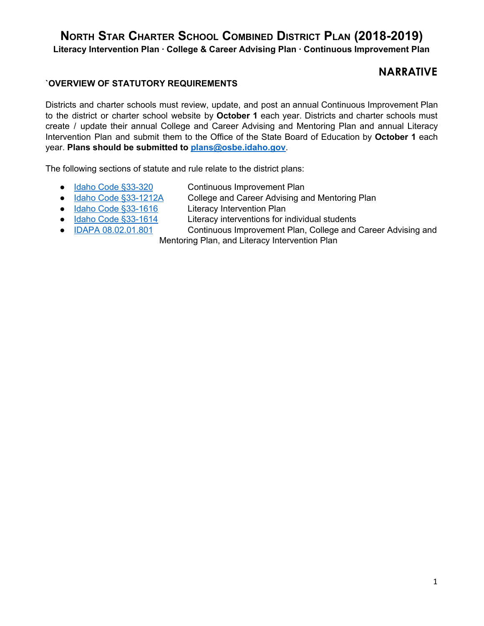**Literacy Intervention Plan · College & Career Advising Plan · Continuous Improvement Plan**

## **NARRATIVE**

### **`OVERVIEW OF STATUTORY REQUIREMENTS**

Districts and charter schools must review, update, and post an annual Continuous Improvement Plan to the district or charter school website by **October 1** each year. Districts and charter schools must create / update their annual College and Career Advising and Mentoring Plan and annual Literacy Intervention Plan and submit them to the Office of the State Board of Education by **October 1** each year. **Plans should be submitted to [plans@osbe.idaho.gov](mailto:plans@osbe.idaho.gov)**.

The following sections of statute and rule relate to the district plans:

- Idaho Code [§33-320](https://legislature.idaho.gov/statutesrules/idstat/Title33/T33CH3/SECT33-320/) Continuous Improvement Plan
- 
- Idaho Code [§33-1616](https://legislature.idaho.gov/statutesrules/idstat/Title33/T33CH16/SECT33-1616/) Literacy Intervention Plan
- 
- 
- Idaho Code [§33-1212A](https://legislature.idaho.gov/statutesrules/idstat/Title33/T33CH12/SECT33-1212A/) College and Career Advising and Mentoring Plan
- Idaho Code [§33-1614](https://legislature.idaho.gov/statutesrules/idstat/Title33/T33CH16/SECT33-1614/) Literacy interventions for individual students
- IDAPA [08.02.01.801](https://adminrules.idaho.gov/rules/current/08/0201.pdf) Continuous Improvement Plan, College and Career Advising and
	- Mentoring Plan, and Literacy Intervention Plan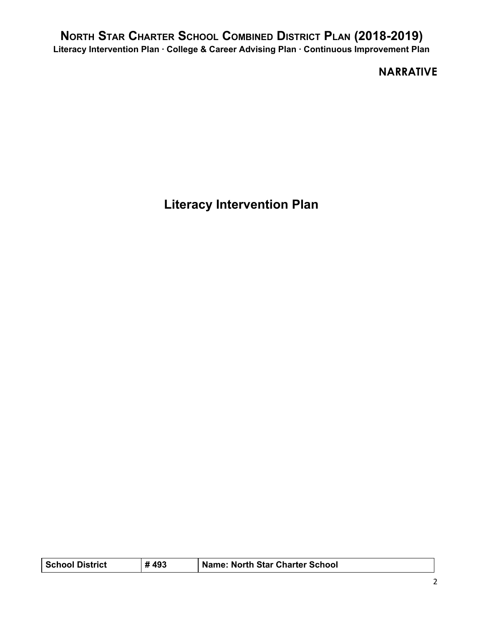## **NARRATIVE**

**Literacy Intervention Plan**

| <b>School District</b> | #493 | Name: North Star Charter School |
|------------------------|------|---------------------------------|
|------------------------|------|---------------------------------|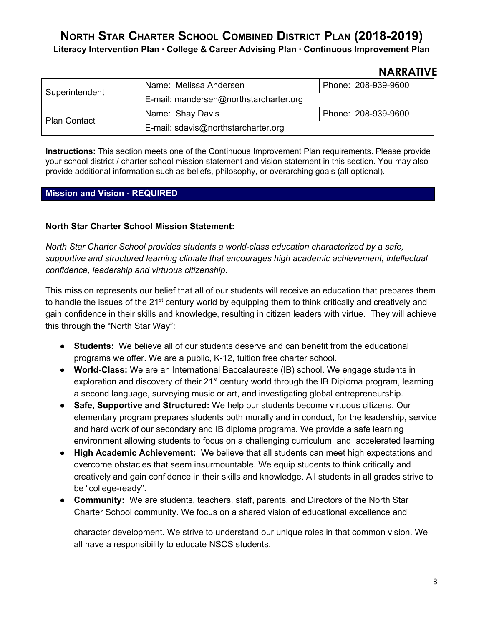**Literacy Intervention Plan · College & Career Advising Plan · Continuous Improvement Plan**

### **NARRATIVE**

| Superintendent      | Name: Melissa Andersen                 | Phone: 208-939-9600 |  |  |  |
|---------------------|----------------------------------------|---------------------|--|--|--|
|                     | E-mail: mandersen@northstarcharter.org |                     |  |  |  |
| <b>Plan Contact</b> | Name: Shay Davis                       | Phone: 208-939-9600 |  |  |  |
|                     | E-mail: sdavis@northstarcharter.org    |                     |  |  |  |

**Instructions:** This section meets one of the Continuous Improvement Plan requirements. Please provide your school district / charter school mission statement and vision statement in this section. You may also provide additional information such as beliefs, philosophy, or overarching goals (all optional).

### **Mission and Vision - REQUIRED**

### **North Star Charter School Mission Statement:**

*North Star Charter School provides students a world-class education characterized by a safe, supportive and structured learning climate that encourages high academic achievement, intellectual confidence, leadership and virtuous citizenship.*

This mission represents our belief that all of our students will receive an education that prepares them to handle the issues of the 21<sup>st</sup> century world by equipping them to think critically and creatively and gain confidence in their skills and knowledge, resulting in citizen leaders with virtue. They will achieve this through the "North Star Way":

- **Students:** We believe all of our students deserve and can benefit from the educational programs we offer. We are a public, K-12, tuition free charter school.
- **World-Class:** We are an International Baccalaureate (IB) school. We engage students in exploration and discovery of their 21<sup>st</sup> century world through the IB Diploma program, learning a second language, surveying music or art, and investigating global entrepreneurship.
- **Safe, Supportive and Structured:** We help our students become virtuous citizens. Our elementary program prepares students both morally and in conduct, for the leadership, service and hard work of our secondary and IB diploma programs. We provide a safe learning environment allowing students to focus on a challenging curriculum and accelerated learning
- **High Academic Achievement:** We believe that all students can meet high expectations and overcome obstacles that seem insurmountable. We equip students to think critically and creatively and gain confidence in their skills and knowledge. All students in all grades strive to be "college-ready".
- **Community:** We are students, teachers, staff, parents, and Directors of the North Star Charter School community. We focus on a shared vision of educational excellence and

character development. We strive to understand our unique roles in that common vision. We all have a responsibility to educate NSCS students.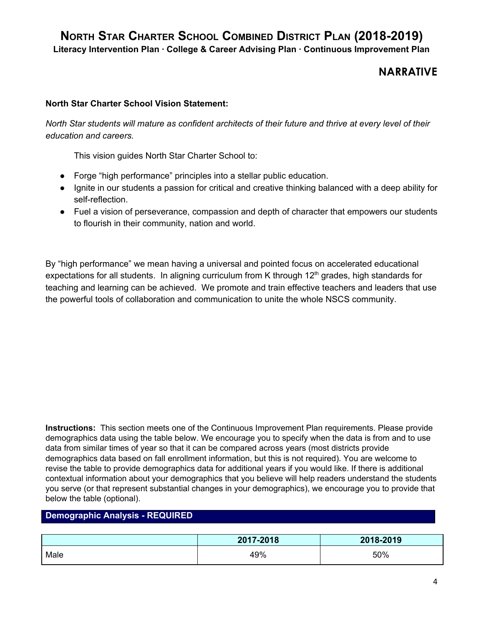**NARRATIVE**

### **North Star Charter School Vision Statement:**

North Star students will mature as confident architects of their future and thrive at every level of their *education and careers.*

This vision guides North Star Charter School to:

- Forge "high performance" principles into a stellar public education.
- Ignite in our students a passion for critical and creative thinking balanced with a deep ability for self-reflection.
- Fuel a vision of perseverance, compassion and depth of character that empowers our students to flourish in their community, nation and world.

By "high performance" we mean having a universal and pointed focus on accelerated educational expectations for all students. In aligning curriculum from K through  $12<sup>th</sup>$  grades, high standards for teaching and learning can be achieved. We promote and train effective teachers and leaders that use the powerful tools of collaboration and communication to unite the whole NSCS community.

**Instructions:**  This section meets one of the Continuous Improvement Plan requirements. Please provide demographics data using the table below. We encourage you to specify when the data is from and to use data from similar times of year so that it can be compared across years (most districts provide demographics data based on fall enrollment information, but this is not required). You are welcome to revise the table to provide demographics data for additional years if you would like. If there is additional contextual information about your demographics that you believe will help readers understand the students you serve (or that represent substantial changes in your demographics), we encourage you to provide that below the table (optional).

### **Demographic Analysis - REQUIRED**

|      | 2017-2018 | 2018-2019 |
|------|-----------|-----------|
| Male | 49%       | 50%       |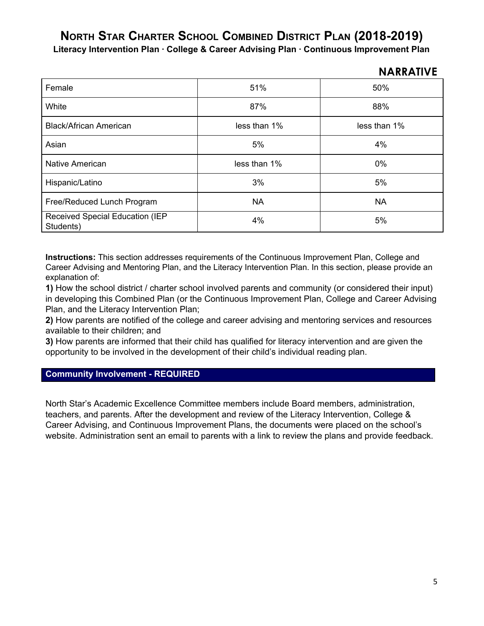**Literacy Intervention Plan · College & Career Advising Plan · Continuous Improvement Plan**

|                                              |              | 11711171176  |
|----------------------------------------------|--------------|--------------|
| Female                                       | 51%          | 50%          |
| White                                        | 87%          | 88%          |
| <b>Black/African American</b>                | less than 1% | less than 1% |
| Asian                                        | 5%           | 4%           |
| <b>Native American</b>                       | less than 1% | 0%           |
| Hispanic/Latino                              | 3%           | 5%           |
| Free/Reduced Lunch Program                   | <b>NA</b>    | <b>NA</b>    |
| Received Special Education (IEP<br>Students) | 4%           | 5%           |

**Instructions:** This section addresses requirements of the Continuous Improvement Plan, College and Career Advising and Mentoring Plan, and the Literacy Intervention Plan. In this section, please provide an explanation of:

**1)** How the school district / charter school involved parents and community (or considered their input) in developing this Combined Plan (or the Continuous Improvement Plan, College and Career Advising Plan, and the Literacy Intervention Plan;

**2)** How parents are notified of the college and career advising and mentoring services and resources available to their children; and

**3)** How parents are informed that their child has qualified for literacy intervention and are given the opportunity to be involved in the development of their child's individual reading plan.

### **Community Involvement - REQUIRED**

North Star's Academic Excellence Committee members include Board members, administration, teachers, and parents. After the development and review of the Literacy Intervention, College & Career Advising, and Continuous Improvement Plans, the documents were placed on the school's website. Administration sent an email to parents with a link to review the plans and provide feedback.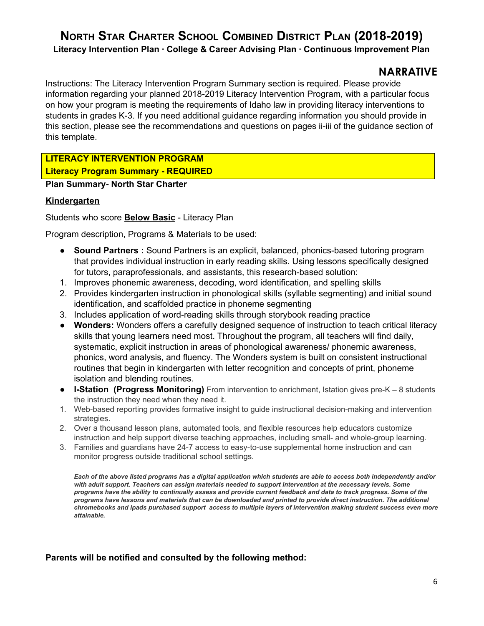### **NARRATIVE**

Instructions: The Literacy Intervention Program Summary section is required. Please provide information regarding your planned 2018-2019 Literacy Intervention Program, with a particular focus on how your program is meeting the requirements of Idaho law in providing literacy interventions to students in grades K-3. If you need additional guidance regarding information you should provide in this section, please see the recommendations and questions on pages ii-iii of the guidance section of this template.

### **LITERACY INTERVENTION PROGRAM Literacy Program Summary - REQUIRED**

**Plan Summary- North Star Charter**

### **Kindergarten**

Students who score **Below Basic** - Literacy Plan

Program description, Programs & Materials to be used:

- **● Sound Partners :** Sound Partners is an explicit, balanced, phonics-based tutoring program that provides individual instruction in early reading skills. Using lessons specifically designed for tutors, paraprofessionals, and assistants, this research-based solution:
- 1. Improves phonemic awareness, decoding, word identification, and spelling skills
- 2. Provides kindergarten instruction in phonological skills (syllable segmenting) and initial sound identification, and scaffolded practice in phoneme segmenting
- 3. Includes application of word-reading skills through storybook reading practice
- **● Wonders:** Wonders offers a carefully designed sequence of instruction to teach critical literacy skills that young learners need most. Throughout the program, all teachers will find daily, systematic, explicit instruction in areas of phonological awareness/ phonemic awareness, phonics, word analysis, and fluency. The Wonders system is built on consistent instructional routines that begin in kindergarten with letter recognition and concepts of print, phoneme isolation and blending routines.
- **● I-Station (Progress Monitoring)** From intervention to enrichment, Istation gives pre-K 8 students the instruction they need when they need it.
- 1. Web-based reporting provides formative insight to guide instructional decision-making and intervention strategies.
- 2. Over a thousand lesson plans, automated tools, and flexible resources help educators customize instruction and help support diverse teaching approaches, including small- and whole-group learning.
- 3. Families and guardians have 24-7 access to easy-to-use supplemental home instruction and can monitor progress outside traditional school settings.

Each of the above listed programs has a digital application which students are able to access both independently and/or *with adult support. Teachers can assign materials needed to support intervention at the necessary levels. Some* programs have the ability to continually assess and provide current feedback and data to track progress. Some of the programs have lessons and materials that can be downloaded and printed to provide direct instruction. The additional chromebooks and ipads purchased support access to multiple layers of intervention making student success even more *attainable.*

### **Parents will be notified and consulted by the following method:**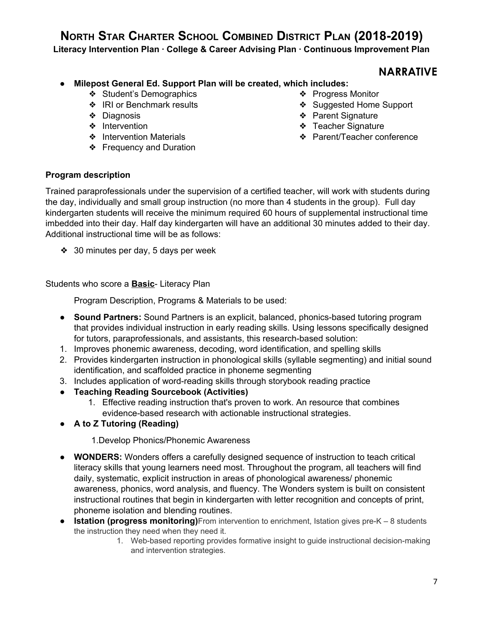**Literacy Intervention Plan · College & Career Advising Plan · Continuous Improvement Plan**

### **NARRATIVE**

### **● Milepost General Ed. Support Plan will be created, which includes:**

- ❖ Student's Demographics
- ❖ IRI or Benchmark results
- ❖ Diagnosis
- ❖ Intervention
- ❖ Intervention Materials
- ❖ Frequency and Duration
- ❖ Progress Monitor
- ❖ Suggested Home Support
- ❖ Parent Signature
- ❖ Teacher Signature
- ❖ Parent/Teacher conference

### **Program description**

Trained paraprofessionals under the supervision of a certified teacher, will work with students during the day, individually and small group instruction (no more than 4 students in the group). Full day kindergarten students will receive the minimum required 60 hours of supplemental instructional time imbedded into their day. Half day kindergarten will have an additional 30 minutes added to their day. Additional instructional time will be as follows:

❖ 30 minutes per day, 5 days per week

Students who score a **Basic**- Literacy Plan

Program Description, Programs & Materials to be used:

- **● Sound Partners:** Sound Partners is an explicit, balanced, phonics-based tutoring program that provides individual instruction in early reading skills. Using lessons specifically designed for tutors, paraprofessionals, and assistants, this research-based solution:
- 1. Improves phonemic awareness, decoding, word identification, and spelling skills
- 2. Provides kindergarten instruction in phonological skills (syllable segmenting) and initial sound identification, and scaffolded practice in phoneme segmenting
- 3. Includes application of word-reading skills through storybook reading practice
- **Teaching Reading Sourcebook (Activities)**
	- 1. Effective reading instruction that's proven to work. An resource that combines evidence-based research with actionable instructional strategies.
- **A to Z Tutoring (Reading)**

1.Develop Phonics/Phonemic Awareness

- **WONDERS:** Wonders offers a carefully designed sequence of instruction to teach critical literacy skills that young learners need most. Throughout the program, all teachers will find daily, systematic, explicit instruction in areas of phonological awareness/ phonemic awareness, phonics, word analysis, and fluency. The Wonders system is built on consistent instructional routines that begin in kindergarten with letter recognition and concepts of print, phoneme isolation and blending routines.
- **Istation (progress monitoring)**From intervention to enrichment, Istation gives pre-K 8 students the instruction they need when they need it.
	- 1. Web-based reporting provides formative insight to guide instructional decision-making and intervention strategies.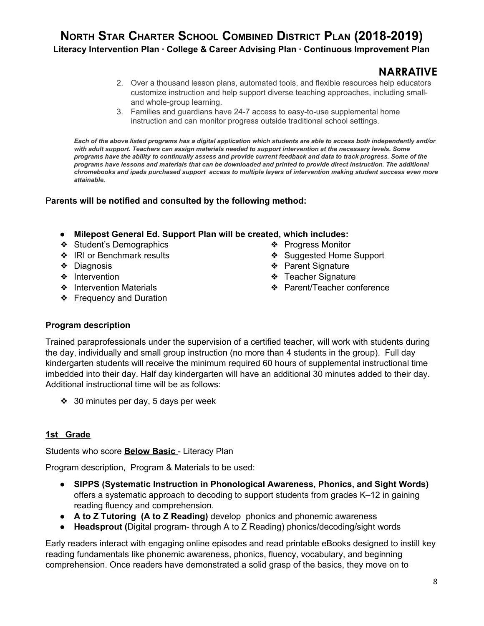## **NARRATIVE**

- 2. Over a thousand lesson plans, automated tools, and flexible resources help educators customize instruction and help support diverse teaching approaches, including smalland whole-group learning.
- 3. Families and guardians have 24-7 access to easy-to-use supplemental home instruction and can monitor progress outside traditional school settings.

Each of the above listed programs has a digital application which students are able to access both independently and/or *with adult support. Teachers can assign materials needed to support intervention at the necessary levels. Some* programs have the ability to continually assess and provide current feedback and data to track progress. Some of the programs have lessons and materials that can be downloaded and printed to provide direct instruction. The additional chromebooks and ipads purchased support access to multiple layers of intervention making student success even more *attainable.*

### P**arents will be notified and consulted by the following method:**

### **● Milepost General Ed. Support Plan will be created, which includes:**

- ❖ Student's Demographics
- ❖ IRI or Benchmark results
- ❖ Diagnosis
- ❖ Intervention
- ❖ Intervention Materials
- ❖ Frequency and Duration
- 
- ❖ Progress Monitor
- ❖ Suggested Home Support
- ❖ Parent Signature
- ❖ Teacher Signature
- ❖ Parent/Teacher conference

### **Program description**

Trained paraprofessionals under the supervision of a certified teacher, will work with students during the day, individually and small group instruction (no more than 4 students in the group). Full day kindergarten students will receive the minimum required 60 hours of supplemental instructional time imbedded into their day. Half day kindergarten will have an additional 30 minutes added to their day. Additional instructional time will be as follows:

❖ 30 minutes per day, 5 days per week

### **1st Grade**

Students who score **Below Basic** - Literacy Plan

Program description, Program & Materials to be used:

- **SIPPS (Systematic Instruction in Phonological Awareness, Phonics, and Sight Words)** offers a systematic approach to decoding to support students from grades K–12 in gaining reading fluency and comprehension.
- **A to Z Tutoring (A to Z Reading)** develop phonics and phonemic awareness
- **Headsprout (**Digital program- through A to Z Reading) phonics/decoding/sight words

Early readers interact with engaging online episodes and read printable eBooks designed to instill key reading fundamentals like phonemic awareness, phonics, fluency, vocabulary, and beginning comprehension. Once readers have demonstrated a solid grasp of the basics, they move on to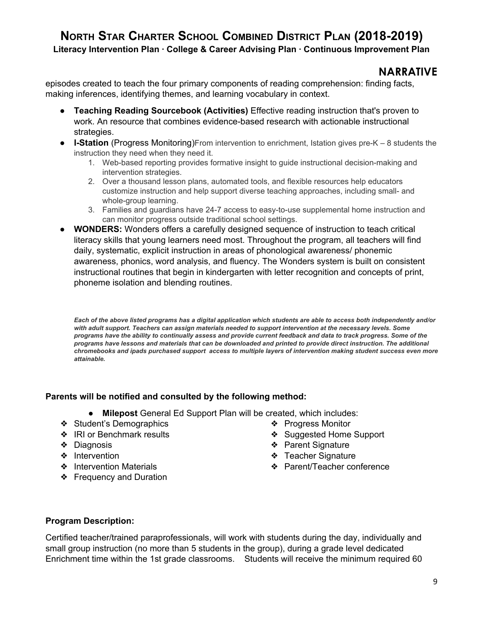**Literacy Intervention Plan · College & Career Advising Plan · Continuous Improvement Plan**

### **NARRATIVE**

episodes created to teach the four primary components of reading comprehension: finding facts, making inferences, identifying themes, and learning vocabulary in context.

- **Teaching Reading Sourcebook (Activities)** Effective reading instruction that's proven to work. An resource that combines evidence-based research with actionable instructional strategies.
- **I-Station** (Progress Monitoring)From intervention to enrichment, Istation gives pre-K 8 students the instruction they need when they need it.
	- 1. Web-based reporting provides formative insight to guide instructional decision-making and intervention strategies.
	- 2. Over a thousand lesson plans, automated tools, and flexible resources help educators customize instruction and help support diverse teaching approaches, including small- and whole-group learning.
	- 3. Families and guardians have 24-7 access to easy-to-use supplemental home instruction and can monitor progress outside traditional school settings.
- **WONDERS:** Wonders offers a carefully designed sequence of instruction to teach critical literacy skills that young learners need most. Throughout the program, all teachers will find daily, systematic, explicit instruction in areas of phonological awareness/ phonemic awareness, phonics, word analysis, and fluency. The Wonders system is built on consistent instructional routines that begin in kindergarten with letter recognition and concepts of print, phoneme isolation and blending routines.

Each of the above listed programs has a digital application which students are able to access both independently and/or *with adult support. Teachers can assign materials needed to support intervention at the necessary levels. Some* programs have the ability to continually assess and provide current feedback and data to track progress. Some of the programs have lessons and materials that can be downloaded and printed to provide direct instruction. The additional chromebooks and ipads purchased support access to multiple layers of intervention making student success even more *attainable.*

### **Parents will be notified and consulted by the following method:**

- **Milepost** General Ed Support Plan will be created, which includes:
- ❖ Student's Demographics
- ❖ IRI or Benchmark results
- ❖ Diagnosis
- ❖ Intervention
- ❖ Intervention Materials
- ❖ Frequency and Duration
- ❖ Progress Monitor
- ❖ Suggested Home Support
- ❖ Parent Signature
- ❖ Teacher Signature
- ❖ Parent/Teacher conference

### **Program Description:**

Certified teacher/trained paraprofessionals, will work with students during the day, individually and small group instruction (no more than 5 students in the group), during a grade level dedicated Enrichment time within the 1st grade classrooms. Students will receive the minimum required 60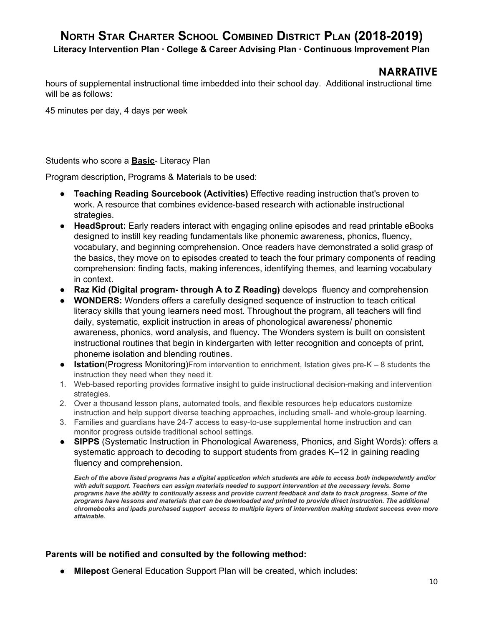**Literacy Intervention Plan · College & Career Advising Plan · Continuous Improvement Plan**

### **NARRATIVE**

hours of supplemental instructional time imbedded into their school day. Additional instructional time will be as follows:

45 minutes per day, 4 days per week

#### Students who score a **Basic**- Literacy Plan

Program description, Programs & Materials to be used:

- **Teaching Reading Sourcebook (Activities)** Effective reading instruction that's proven to work. A resource that combines evidence-based research with actionable instructional strategies.
- **● HeadSprout:** Early readers interact with engaging online episodes and read printable eBooks designed to instill key reading fundamentals like phonemic awareness, phonics, fluency, vocabulary, and beginning comprehension. Once readers have demonstrated a solid grasp of the basics, they move on to episodes created to teach the four primary components of reading comprehension: finding facts, making inferences, identifying themes, and learning vocabulary in context.
- **Raz Kid (Digital program- through A to Z Reading)** develops fluency and comprehension
- **WONDERS:** Wonders offers a carefully designed sequence of instruction to teach critical literacy skills that young learners need most. Throughout the program, all teachers will find daily, systematic, explicit instruction in areas of phonological awareness/ phonemic awareness, phonics, word analysis, and fluency. The Wonders system is built on consistent instructional routines that begin in kindergarten with letter recognition and concepts of print, phoneme isolation and blending routines.
- **Istation**(Progress Monitoring)From intervention to enrichment, Istation gives pre-K 8 students the instruction they need when they need it.
- 1. Web-based reporting provides formative insight to guide instructional decision-making and intervention strategies.
- 2. Over a thousand lesson plans, automated tools, and flexible resources help educators customize instruction and help support diverse teaching approaches, including small- and whole-group learning.
- 3. Families and guardians have 24-7 access to easy-to-use supplemental home instruction and can monitor progress outside traditional school settings.
- **SIPPS** (Systematic Instruction in Phonological Awareness, Phonics, and Sight Words): offers a systematic approach to decoding to support students from grades K–12 in gaining reading fluency and comprehension.

Each of the above listed programs has a digital application which students are able to access both independently and/or *with adult support. Teachers can assign materials needed to support intervention at the necessary levels. Some* programs have the ability to continually assess and provide current feedback and data to track progress. Some of the programs have lessons and materials that can be downloaded and printed to provide direct instruction. The additional chromebooks and ipads purchased support access to multiple layers of intervention making student success even more *attainable.*

### **Parents will be notified and consulted by the following method:**

● **Milepost** General Education Support Plan will be created, which includes: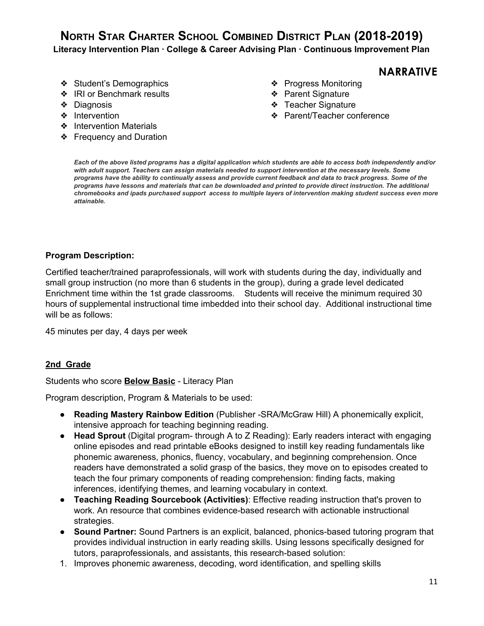- ❖ Student's Demographics
- ❖ IRI or Benchmark results
- ❖ Diagnosis
- ❖ Intervention
- ❖ Intervention Materials
- ❖ Frequency and Duration
- **NARRATIVE** ❖ Progress Monitoring
- ❖ Parent Signature
- ❖ Teacher Signature
- ❖ Parent/Teacher conference

Each of the above listed programs has a digital application which students are able to access both independently and/or *with adult support. Teachers can assign materials needed to support intervention at the necessary levels. Some* programs have the ability to continually assess and provide current feedback and data to track progress. Some of the programs have lessons and materials that can be downloaded and printed to provide direct instruction. The additional chromebooks and ipads purchased support access to multiple layers of intervention making student success even more *attainable.*

#### **Program Description:**

Certified teacher/trained paraprofessionals, will work with students during the day, individually and small group instruction (no more than 6 students in the group), during a grade level dedicated Enrichment time within the 1st grade classrooms. Students will receive the minimum required 30 hours of supplemental instructional time imbedded into their school day. Additional instructional time will be as follows:

45 minutes per day, 4 days per week

#### **2nd Grade**

Students who score **Below Basic** - Literacy Plan

Program description, Program & Materials to be used:

- **Reading Mastery Rainbow Edition** (Publisher -SRA/McGraw Hill) A phonemically explicit, intensive approach for teaching beginning reading.
- **Head Sprout** (Digital program- through A to Z Reading): Early readers interact with engaging online episodes and read printable eBooks designed to instill key reading fundamentals like phonemic awareness, phonics, fluency, vocabulary, and beginning comprehension. Once readers have demonstrated a solid grasp of the basics, they move on to episodes created to teach the four primary components of reading comprehension: finding facts, making inferences, identifying themes, and learning vocabulary in context.
- **Teaching Reading Sourcebook (Activities)**: Effective reading instruction that's proven to work. An resource that combines evidence-based research with actionable instructional strategies.
- **● Sound Partner:** Sound Partners is an explicit, balanced, phonics-based tutoring program that provides individual instruction in early reading skills. Using lessons specifically designed for tutors, paraprofessionals, and assistants, this research-based solution:
- 1. Improves phonemic awareness, decoding, word identification, and spelling skills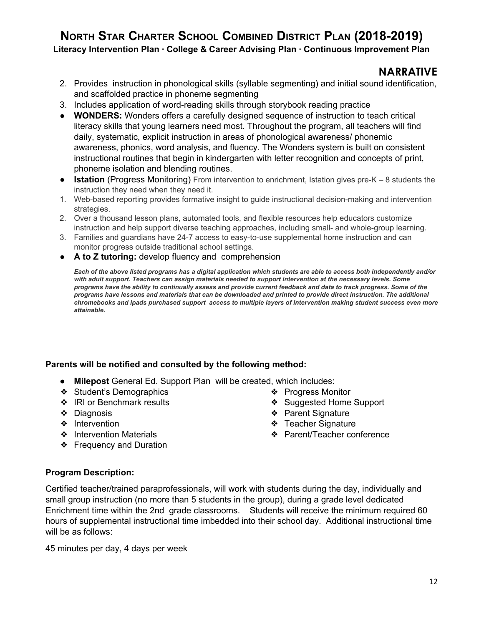**Literacy Intervention Plan · College & Career Advising Plan · Continuous Improvement Plan**

### **NARRATIVE**

- 2. Provides instruction in phonological skills (syllable segmenting) and initial sound identification, and scaffolded practice in phoneme segmenting
- 3. Includes application of word-reading skills through storybook reading practice
- **WONDERS:** Wonders offers a carefully designed sequence of instruction to teach critical literacy skills that young learners need most. Throughout the program, all teachers will find daily, systematic, explicit instruction in areas of phonological awareness/ phonemic awareness, phonics, word analysis, and fluency. The Wonders system is built on consistent instructional routines that begin in kindergarten with letter recognition and concepts of print, phoneme isolation and blending routines.
- **Istation** (Progress Monitoring) From intervention to enrichment, Istation gives pre-K 8 students the instruction they need when they need it.
- 1. Web-based reporting provides formative insight to guide instructional decision-making and intervention strategies.
- 2. Over a thousand lesson plans, automated tools, and flexible resources help educators customize instruction and help support diverse teaching approaches, including small- and whole-group learning.
- 3. Families and guardians have 24-7 access to easy-to-use supplemental home instruction and can monitor progress outside traditional school settings.
- **A to Z tutoring:** develop fluency and comprehension

Each of the above listed programs has a digital application which students are able to access both independently and/or *with adult support. Teachers can assign materials needed to support intervention at the necessary levels. Some* programs have the ability to continually assess and provide current feedback and data to track progress. Some of the programs have lessons and materials that can be downloaded and printed to provide direct instruction. The additional chromebooks and ipads purchased support access to multiple layers of intervention making student success even more *attainable.*

### **Parents will be notified and consulted by the following method:**

- **Milepost** General Ed. Support Plan will be created, which includes:
- ❖ Student's Demographics
- ❖ IRI or Benchmark results
- ❖ Diagnosis
- ❖ Intervention
- ❖ Intervention Materials
- ❖ Frequency and Duration
- ❖ Progress Monitor
- ❖ Suggested Home Support
- ❖ Parent Signature
- ❖ Teacher Signature
- ❖ Parent/Teacher conference

### **Program Description:**

Certified teacher/trained paraprofessionals, will work with students during the day, individually and small group instruction (no more than 5 students in the group), during a grade level dedicated Enrichment time within the 2nd grade classrooms. Students will receive the minimum required 60 hours of supplemental instructional time imbedded into their school day. Additional instructional time will be as follows:

45 minutes per day, 4 days per week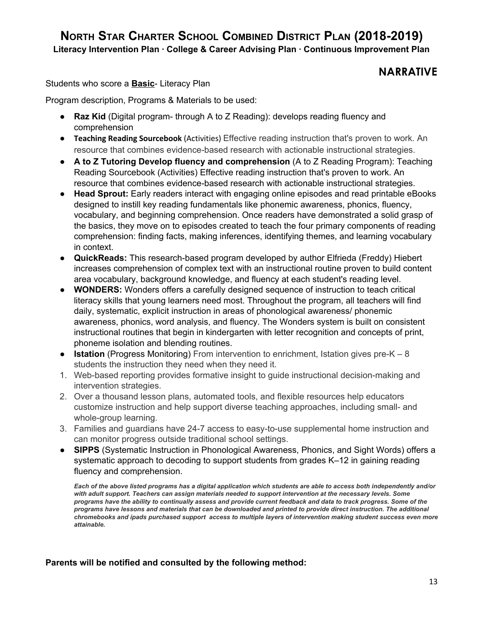## **NARRATIVE**

Students who score a **Basic**- Literacy Plan

Program description, Programs & Materials to be used:

- **Raz Kid** (Digital program- through A to Z Reading): develops reading fluency and comprehension
- **Teaching Reading Sourcebook** (Activities) Effective reading instruction that's proven to work. An resource that combines evidence-based research with actionable instructional strategies.
- **A to Z Tutoring Develop fluency and comprehension** (A to Z Reading Program): Teaching Reading Sourcebook (Activities) Effective reading instruction that's proven to work. An resource that combines evidence-based research with actionable instructional strategies.
- **● Head Sprout:** Early readers interact with engaging online episodes and read printable eBooks designed to instill key reading fundamentals like phonemic awareness, phonics, fluency, vocabulary, and beginning comprehension. Once readers have demonstrated a solid grasp of the basics, they move on to episodes created to teach the four primary components of reading comprehension: finding facts, making inferences, identifying themes, and learning vocabulary in context.
- **QuickReads:** This research-based program developed by author Elfrieda (Freddy) Hiebert increases comprehension of complex text with an instructional routine proven to build content area vocabulary, background knowledge, and fluency at each student's reading level.
- **● WONDERS:** Wonders offers a carefully designed sequence of instruction to teach critical literacy skills that young learners need most. Throughout the program, all teachers will find daily, systematic, explicit instruction in areas of phonological awareness/ phonemic awareness, phonics, word analysis, and fluency. The Wonders system is built on consistent instructional routines that begin in kindergarten with letter recognition and concepts of print, phoneme isolation and blending routines.
- **Istation** (Progress Monitoring) From intervention to enrichment, Istation gives pre-K 8 students the instruction they need when they need it.
- 1. Web-based reporting provides formative insight to guide instructional decision-making and intervention strategies.
- 2. Over a thousand lesson plans, automated tools, and flexible resources help educators customize instruction and help support diverse teaching approaches, including small- and whole-group learning.
- 3. Families and guardians have 24-7 access to easy-to-use supplemental home instruction and can monitor progress outside traditional school settings.
- **SIPPS** (Systematic Instruction in Phonological Awareness, Phonics, and Sight Words) offers a systematic approach to decoding to support students from grades K–12 in gaining reading fluency and comprehension.

Each of the above listed programs has a digital application which students are able to access both independently and/or *with adult support. Teachers can assign materials needed to support intervention at the necessary levels. Some* programs have the ability to continually assess and provide current feedback and data to track progress. Some of the programs have lessons and materials that can be downloaded and printed to provide direct instruction. The additional chromebooks and ipads purchased support access to multiple layers of intervention making student success even more *attainable.*

### **Parents will be notified and consulted by the following method:**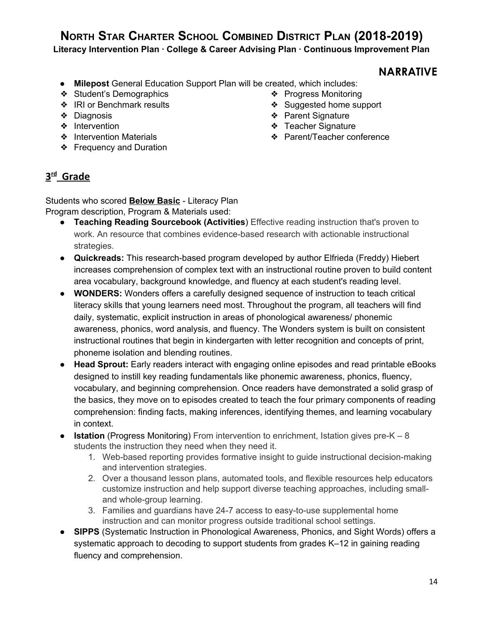**Literacy Intervention Plan · College & Career Advising Plan · Continuous Improvement Plan**

### **NARRATIVE**

- **Milepost** General Education Support Plan will be created, which includes:
- ❖ Student's Demographics
- ❖ IRI or Benchmark results
- ❖ Diagnosis
- ❖ Intervention
- ❖ Intervention Materials
- ❖ Frequency and Duration
- ❖ Progress Monitoring
	- ❖ Suggested home support
	- ❖ Parent Signature
	- ❖ Teacher Signature
	- ❖ Parent/Teacher conference

## **3 rd Grade**

Students who scored **Below Basic** - Literacy Plan Program description, Program & Materials used:

- **Teaching Reading Sourcebook (Activities**) Effective reading instruction that's proven to work. An resource that combines evidence-based research with actionable instructional strategies.
- **● Quickreads:** This research-based program developed by author Elfrieda (Freddy) Hiebert increases comprehension of complex text with an instructional routine proven to build content area vocabulary, background knowledge, and fluency at each student's reading level.
- **● WONDERS:** Wonders offers a carefully designed sequence of instruction to teach critical literacy skills that young learners need most. Throughout the program, all teachers will find daily, systematic, explicit instruction in areas of phonological awareness/ phonemic awareness, phonics, word analysis, and fluency. The Wonders system is built on consistent instructional routines that begin in kindergarten with letter recognition and concepts of print, phoneme isolation and blending routines.
- **● Head Sprout:** Early readers interact with engaging online episodes and read printable eBooks designed to instill key reading fundamentals like phonemic awareness, phonics, fluency, vocabulary, and beginning comprehension. Once readers have demonstrated a solid grasp of the basics, they move on to episodes created to teach the four primary components of reading comprehension: finding facts, making inferences, identifying themes, and learning vocabulary in context.
- **Istation** (Progress Monitoring) From intervention to enrichment, Istation gives pre-K 8 students the instruction they need when they need it.
	- 1. Web-based reporting provides formative insight to guide instructional decision-making and intervention strategies.
	- 2. Over a thousand lesson plans, automated tools, and flexible resources help educators customize instruction and help support diverse teaching approaches, including smalland whole-group learning.
	- 3. Families and guardians have 24-7 access to easy-to-use supplemental home instruction and can monitor progress outside traditional school settings.
- **SIPPS** (Systematic Instruction in Phonological Awareness, Phonics, and Sight Words) offers a systematic approach to decoding to support students from grades K–12 in gaining reading fluency and comprehension.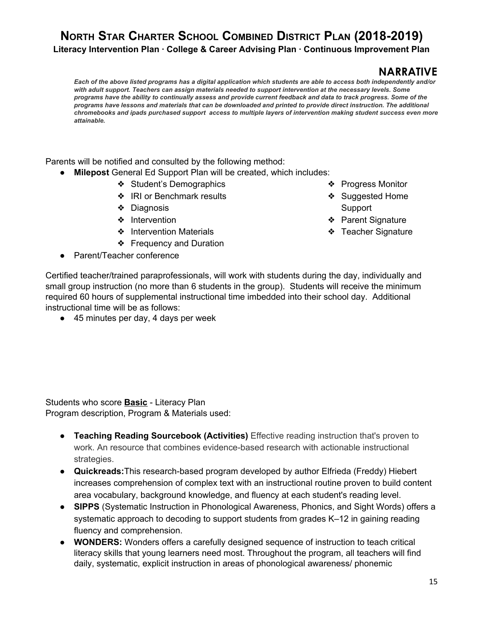## **NARRATIVE**

Each of the above listed programs has a digital application which students are able to access both independently and/or *with adult support. Teachers can assign materials needed to support intervention at the necessary levels. Some* programs have the ability to continually assess and provide current feedback and data to track progress. Some of the programs have lessons and materials that can be downloaded and printed to provide direct instruction. The additional chromebooks and ipads purchased support access to multiple layers of intervention making student success even more *attainable.*

Parents will be notified and consulted by the following method:

- **Milepost** General Ed Support Plan will be created, which includes:
	- ❖ Student's Demographics
	- ❖ IRI or Benchmark results
	- ❖ Diagnosis
	- ❖ Intervention
	- ❖ Intervention Materials
	- ❖ Frequency and Duration
- Parent/Teacher conference
- ❖ Progress Monitor
- ❖ Suggested Home Support
- ❖ Parent Signature
- ❖ Teacher Signature

Certified teacher/trained paraprofessionals, will work with students during the day, individually and small group instruction (no more than 6 students in the group). Students will receive the minimum required 60 hours of supplemental instructional time imbedded into their school day. Additional instructional time will be as follows:

● 45 minutes per day, 4 days per week

Students who score **Basic** - Literacy Plan Program description, Program & Materials used:

- **Teaching Reading Sourcebook (Activities)** Effective reading instruction that's proven to work. An resource that combines evidence-based research with actionable instructional strategies.
- **● Quickreads:**This research-based program developed by author Elfrieda (Freddy) Hiebert increases comprehension of complex text with an instructional routine proven to build content area vocabulary, background knowledge, and fluency at each student's reading level.
- **SIPPS** (Systematic Instruction in Phonological Awareness, Phonics, and Sight Words) offers a systematic approach to decoding to support students from grades K–12 in gaining reading fluency and comprehension.
- **WONDERS:** Wonders offers a carefully designed sequence of instruction to teach critical literacy skills that young learners need most. Throughout the program, all teachers will find daily, systematic, explicit instruction in areas of phonological awareness/ phonemic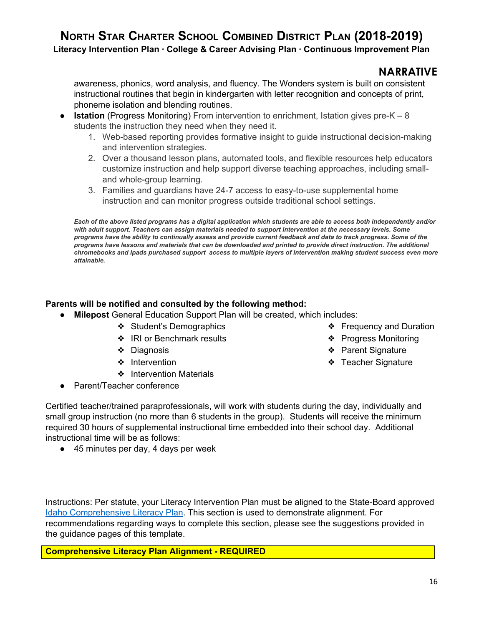**Literacy Intervention Plan · College & Career Advising Plan · Continuous Improvement Plan**

### **NARRATIVE**

awareness, phonics, word analysis, and fluency. The Wonders system is built on consistent instructional routines that begin in kindergarten with letter recognition and concepts of print, phoneme isolation and blending routines.

- **Istation** (Progress Monitoring) From intervention to enrichment, Istation gives pre-K 8 students the instruction they need when they need it.
	- 1. Web-based reporting provides formative insight to guide instructional decision-making and intervention strategies.
	- 2. Over a thousand lesson plans, automated tools, and flexible resources help educators customize instruction and help support diverse teaching approaches, including smalland whole-group learning.
	- 3. Families and guardians have 24-7 access to easy-to-use supplemental home instruction and can monitor progress outside traditional school settings.

Each of the above listed programs has a digital application which students are able to access both independently and/or *with adult support. Teachers can assign materials needed to support intervention at the necessary levels. Some* programs have the ability to continually assess and provide current feedback and data to track progress. Some of the programs have lessons and materials that can be downloaded and printed to provide direct instruction. The additional chromebooks and ipads purchased support access to multiple layers of intervention making student success even more *attainable.*

### **Parents will be notified and consulted by the following method:**

- **Milepost** General Education Support Plan will be created, which includes:
	- ❖ Student's Demographics
	- ❖ IRI or Benchmark results
	- ❖ Diagnosis
	- ❖ Intervention
	- ❖ Intervention Materials
- Parent/Teacher conference
- ❖ Frequency and Duration
- ❖ Progress Monitoring
- ❖ Parent Signature
- ❖ Teacher Signature

Certified teacher/trained paraprofessionals, will work with students during the day, individually and small group instruction (no more than 6 students in the group). Students will receive the minimum required 30 hours of supplemental instructional time embedded into their school day. Additional instructional time will be as follows:

● 45 minutes per day, 4 days per week

Instructions: Per statute, your Literacy Intervention Plan must be aligned to the State-Board approved Idaho [Comprehensive](https://boardofed.idaho.gov/resources/comprehensive-literacy-plan/) Literacy Plan. This section is used to demonstrate alignment. For recommendations regarding ways to complete this section, please see the suggestions provided in the guidance pages of this template.

**Comprehensive Literacy Plan Alignment - REQUIRED**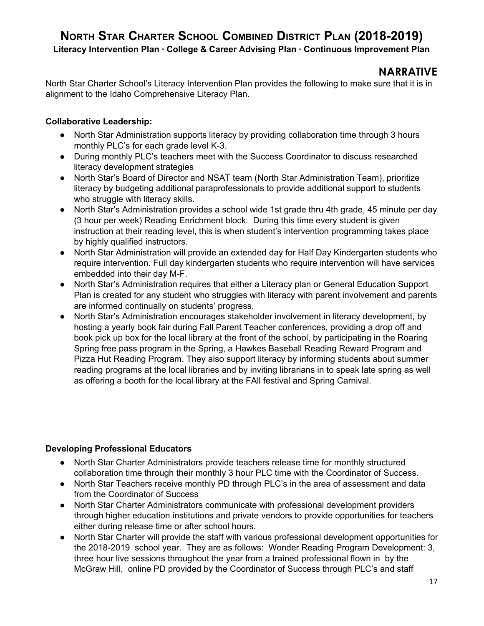**Literacy Intervention Plan · College & Career Advising Plan · Continuous Improvement Plan**

## **NARRATIVE**

North Star Charter School's Literacy Intervention Plan provides the following to make sure that it is in alignment to the Idaho Comprehensive Literacy Plan.

### **Collaborative Leadership:**

- North Star Administration supports literacy by providing collaboration time through 3 hours monthly PLC's for each grade level K-3.
- During monthly PLC's teachers meet with the Success Coordinator to discuss researched literacy development strategies
- North Star's Board of Director and NSAT team (North Star Administration Team), prioritize literacy by budgeting additional paraprofessionals to provide additional support to students who struggle with literacy skills.
- North Star's Administration provides a school wide 1st grade thru 4th grade, 45 minute per day (3 hour per week) Reading Enrichment block. During this time every student is given instruction at their reading level, this is when student's intervention programming takes place by highly qualified instructors.
- North Star Administration will provide an extended day for Half Day Kindergarten students who require intervention. Full day kindergarten students who require intervention will have services embedded into their day M-F.
- North Star's Administration requires that either a Literacy plan or General Education Support Plan is created for any student who struggles with literacy with parent involvement and parents are informed continually on students' progress.
- North Star's Administration encourages stakeholder involvement in literacy development, by hosting a yearly book fair during Fall Parent Teacher conferences, providing a drop off and book pick up box for the local library at the front of the school, by participating in the Roaring Spring free pass program in the Spring, a Hawkes Baseball Reading Reward Program and Pizza Hut Reading Program. They also support literacy by informing students about summer reading programs at the local libraries and by inviting librarians in to speak late spring as well as offering a booth for the local library at the FAll festival and Spring Carnival.

### **Developing Professional Educators**

- North Star Charter Administrators provide teachers release time for monthly structured collaboration time through their monthly 3 hour PLC time with the Coordinator of Success.
- North Star Teachers receive monthly PD through PLC's in the area of assessment and data from the Coordinator of Success
- North Star Charter Administrators communicate with professional development providers through higher education institutions and private vendors to provide opportunities for teachers either during release time or after school hours.
- North Star Charter will provide the staff with various professional development opportunities for the 2018-2019 school year. They are as follows: Wonder Reading Program Development: 3, three hour live sessions throughout the year from a trained professional flown in by the McGraw Hill, online PD provided by the Coordinator of Success through PLC's and staff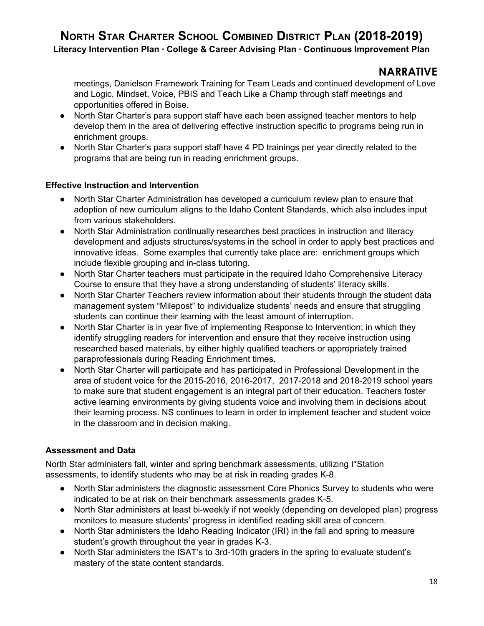## **NARRATIVE**

meetings, Danielson Framework Training for Team Leads and continued development of Love and Logic, Mindset, Voice, PBIS and Teach Like a Champ through staff meetings and opportunities offered in Boise.

- North Star Charter's para support staff have each been assigned teacher mentors to help develop them in the area of delivering effective instruction specific to programs being run in enrichment groups.
- North Star Charter's para support staff have 4 PD trainings per year directly related to the programs that are being run in reading enrichment groups.

### **Effective Instruction and Intervention**

- North Star Charter Administration has developed a curriculum review plan to ensure that adoption of new curriculum aligns to the Idaho Content Standards, which also includes input from various stakeholders.
- North Star Administration continually researches best practices in instruction and literacy development and adjusts structures/systems in the school in order to apply best practices and innovative ideas. Some examples that currently take place are: enrichment groups which include flexible grouping and in-class tutoring.
- North Star Charter teachers must participate in the required Idaho Comprehensive Literacy Course to ensure that they have a strong understanding of students' literacy skills.
- North Star Charter Teachers review information about their students through the student data management system "Milepost" to individualize students' needs and ensure that struggling students can continue their learning with the least amount of interruption.
- North Star Charter is in year five of implementing Response to Intervention; in which they identify struggling readers for intervention and ensure that they receive instruction using researched based materials, by either highly qualified teachers or appropriately trained paraprofessionals during Reading Enrichment times.
- North Star Charter will participate and has participated in Professional Development in the area of student voice for the 2015-2016, 2016-2017, 2017-2018 and 2018-2019 school years to make sure that student engagement is an integral part of their education. Teachers foster active learning environments by giving students voice and involving them in decisions about their learning process. NS continues to learn in order to implement teacher and student voice in the classroom and in decision making.

### **Assessment and Data**

North Star administers fall, winter and spring benchmark assessments, utilizing I\*Station assessments, to identify students who may be at risk in reading grades K-8.

- North Star administers the diagnostic assessment Core Phonics Survey to students who were indicated to be at risk on their benchmark assessments grades K-5.
- North Star administers at least bi-weekly if not weekly (depending on developed plan) progress monitors to measure students' progress in identified reading skill area of concern.
- North Star administers the Idaho Reading Indicator (IRI) in the fall and spring to measure student's growth throughout the year in grades K-3.
- North Star administers the ISAT's to 3rd-10th graders in the spring to evaluate student's mastery of the state content standards.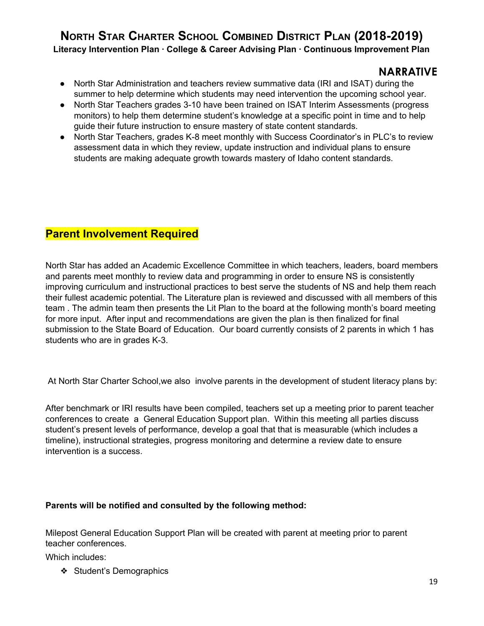### **NARRATIVE**

- North Star Administration and teachers review summative data (IRI and ISAT) during the summer to help determine which students may need intervention the upcoming school year.
- North Star Teachers grades 3-10 have been trained on ISAT Interim Assessments (progress monitors) to help them determine student's knowledge at a specific point in time and to help guide their future instruction to ensure mastery of state content standards.
- North Star Teachers, grades K-8 meet monthly with Success Coordinator's in PLC's to review assessment data in which they review, update instruction and individual plans to ensure students are making adequate growth towards mastery of Idaho content standards.

## **Parent Involvement Required**

North Star has added an Academic Excellence Committee in which teachers, leaders, board members and parents meet monthly to review data and programming in order to ensure NS is consistently improving curriculum and instructional practices to best serve the students of NS and help them reach their fullest academic potential. The Literature plan is reviewed and discussed with all members of this team . The admin team then presents the Lit Plan to the board at the following month's board meeting for more input. After input and recommendations are given the plan is then finalized for final submission to the State Board of Education. Our board currently consists of 2 parents in which 1 has students who are in grades K-3.

At North Star Charter School,we also involve parents in the development of student literacy plans by:

After benchmark or IRI results have been compiled, teachers set up a meeting prior to parent teacher conferences to create a General Education Support plan. Within this meeting all parties discuss student's present levels of performance, develop a goal that that is measurable (which includes a timeline), instructional strategies, progress monitoring and determine a review date to ensure intervention is a success.

### **Parents will be notified and consulted by the following method:**

Milepost General Education Support Plan will be created with parent at meeting prior to parent teacher conferences.

Which includes:

❖ Student's Demographics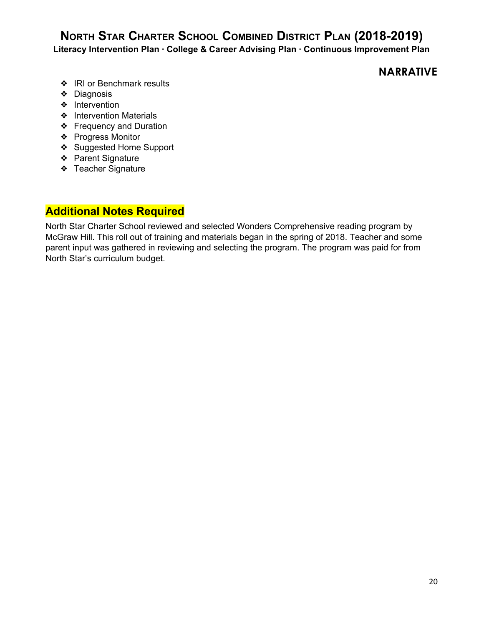**Literacy Intervention Plan · College & Career Advising Plan · Continuous Improvement Plan**

## **NARRATIVE**

- ❖ IRI or Benchmark results
- ❖ Diagnosis
- ❖ Intervention
- ❖ Intervention Materials
- ❖ Frequency and Duration
- ❖ Progress Monitor
- ❖ Suggested Home Support
- ❖ Parent Signature
- ❖ Teacher Signature

## **Additional Notes Required**

North Star Charter School reviewed and selected Wonders Comprehensive reading program by McGraw Hill. This roll out of training and materials began in the spring of 2018. Teacher and some parent input was gathered in reviewing and selecting the program. The program was paid for from North Star's curriculum budget.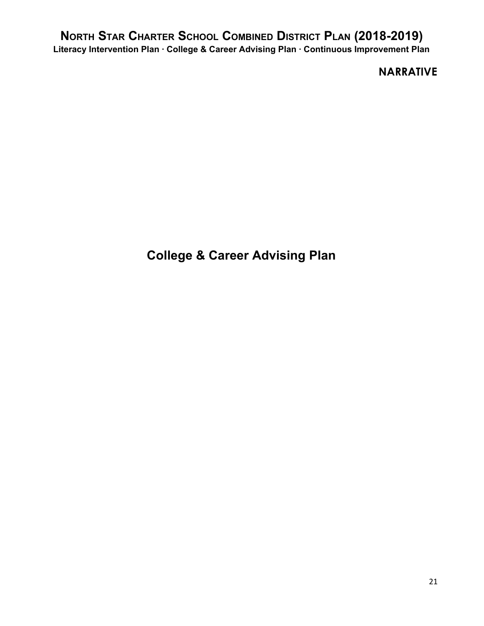**NARRATIVE**

**College & Career Advising Plan**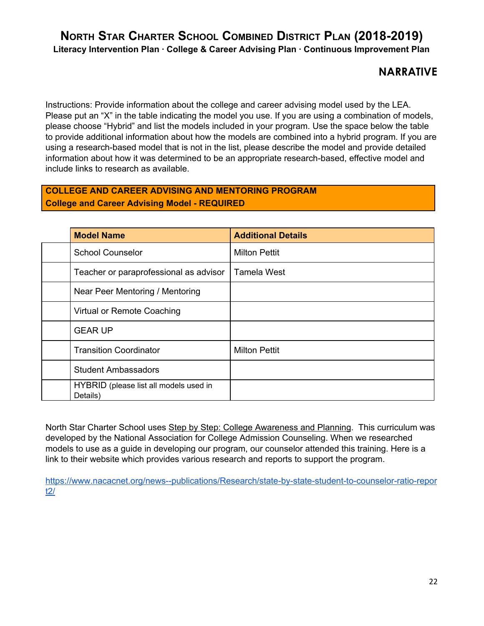## **NARRATIVE**

Instructions: Provide information about the college and career advising model used by the LEA. Please put an "X" in the table indicating the model you use. If you are using a combination of models, please choose "Hybrid" and list the models included in your program. Use the space below the table to provide additional information about how the models are combined into a hybrid program. If you are using a research-based model that is not in the list, please describe the model and provide detailed information about how it was determined to be an appropriate research-based, effective model and include links to research as available.

### **COLLEGE AND CAREER ADVISING AND MENTORING PROGRAM College and Career Advising Model - REQUIRED**

| <b>Model Name</b>                                  | <b>Additional Details</b> |
|----------------------------------------------------|---------------------------|
| <b>School Counselor</b>                            | <b>Milton Pettit</b>      |
| Teacher or paraprofessional as advisor             | <b>Tamela West</b>        |
| Near Peer Mentoring / Mentoring                    |                           |
| Virtual or Remote Coaching                         |                           |
| <b>GEAR UP</b>                                     |                           |
| <b>Transition Coordinator</b>                      | <b>Milton Pettit</b>      |
| <b>Student Ambassadors</b>                         |                           |
| HYBRID (please list all models used in<br>Details) |                           |

North Star Charter School uses Step by Step: College Awareness and Planning. This curriculum was developed by the National Association for College Admission Counseling. When we researched models to use as a guide in developing our program, our counselor attended this training. Here is a link to their website which provides various research and reports to support the program.

[https://www.nacacnet.org/news--publications/Research/state-by-state-student-to-counselor-ratio-repor](https://www.nacacnet.org/news--publications/Research/state-by-state-student-to-counselor-ratio-report2/) [t2/](https://www.nacacnet.org/news--publications/Research/state-by-state-student-to-counselor-ratio-report2/)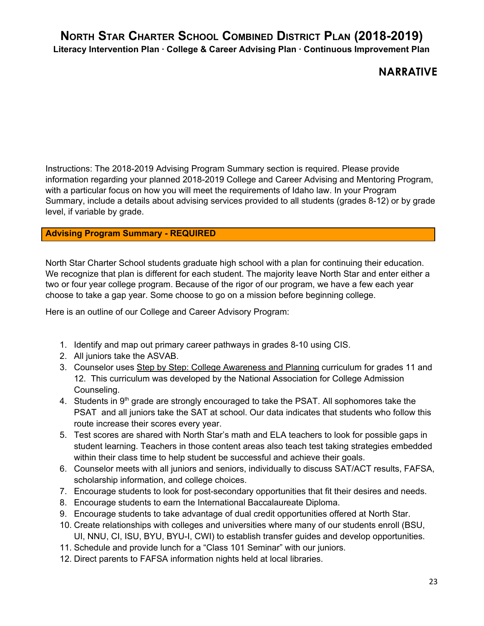## **NARRATIVE**

Instructions: The 2018-2019 Advising Program Summary section is required. Please provide information regarding your planned 2018-2019 College and Career Advising and Mentoring Program, with a particular focus on how you will meet the requirements of Idaho law. In your Program Summary, include a details about advising services provided to all students (grades 8-12) or by grade level, if variable by grade.

### **Advising Program Summary - REQUIRED**

North Star Charter School students graduate high school with a plan for continuing their education. We recognize that plan is different for each student. The majority leave North Star and enter either a two or four year college program. Because of the rigor of our program, we have a few each year choose to take a gap year. Some choose to go on a mission before beginning college.

Here is an outline of our College and Career Advisory Program:

- 1. Identify and map out primary career pathways in grades 8-10 using CIS.
- 2. All juniors take the ASVAB.
- 3. Counselor uses Step by Step: College Awareness and Planning curriculum for grades 11 and 12. This curriculum was developed by the National Association for College Admission Counseling.
- 4. Students in 9<sup>th</sup> grade are strongly encouraged to take the PSAT. All sophomores take the PSAT and all juniors take the SAT at school. Our data indicates that students who follow this route increase their scores every year.
- 5. Test scores are shared with North Star's math and ELA teachers to look for possible gaps in student learning. Teachers in those content areas also teach test taking strategies embedded within their class time to help student be successful and achieve their goals.
- 6. Counselor meets with all juniors and seniors, individually to discuss SAT/ACT results, FAFSA, scholarship information, and college choices.
- 7. Encourage students to look for post-secondary opportunities that fit their desires and needs.
- 8. Encourage students to earn the International Baccalaureate Diploma.
- 9. Encourage students to take advantage of dual credit opportunities offered at North Star.
- 10. Create relationships with colleges and universities where many of our students enroll (BSU, UI, NNU, CI, ISU, BYU, BYU-I, CWI) to establish transfer guides and develop opportunities.
- 11. Schedule and provide lunch for a "Class 101 Seminar" with our juniors.
- 12. Direct parents to FAFSA information nights held at local libraries.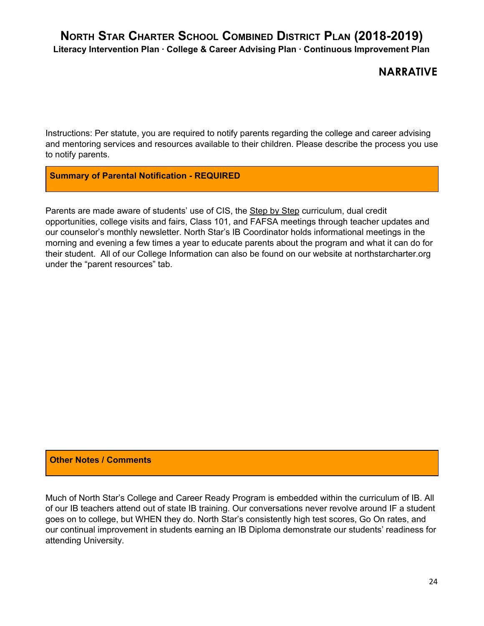## **NARRATIVE**

Instructions: Per statute, you are required to notify parents regarding the college and career advising and mentoring services and resources available to their children. Please describe the process you use to notify parents.

**Summary of Parental Notification - REQUIRED**

Parents are made aware of students' use of CIS, the Step by Step curriculum, dual credit opportunities, college visits and fairs, Class 101, and FAFSA meetings through teacher updates and our counselor's monthly newsletter. North Star's IB Coordinator holds informational meetings in the morning and evening a few times a year to educate parents about the program and what it can do for their student. All of our College Information can also be found on our website at northstarcharter.org under the "parent resources" tab.

### **Other Notes / Comments**

Much of North Star's College and Career Ready Program is embedded within the curriculum of IB. All of our IB teachers attend out of state IB training. Our conversations never revolve around IF a student goes on to college, but WHEN they do. North Star's consistently high test scores, Go On rates, and our continual improvement in students earning an IB Diploma demonstrate our students' readiness for attending University.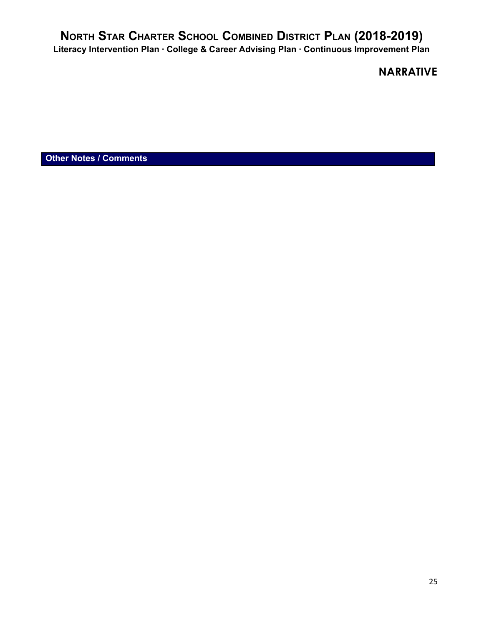## **NARRATIVE**

**Other Notes / Comments**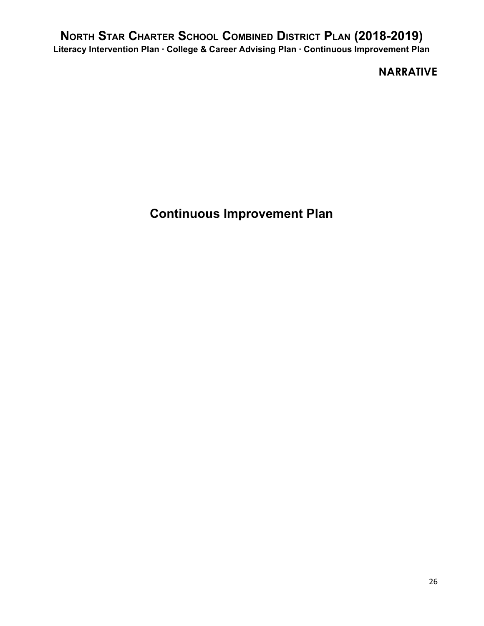## **NARRATIVE**

**Continuous Improvement Plan**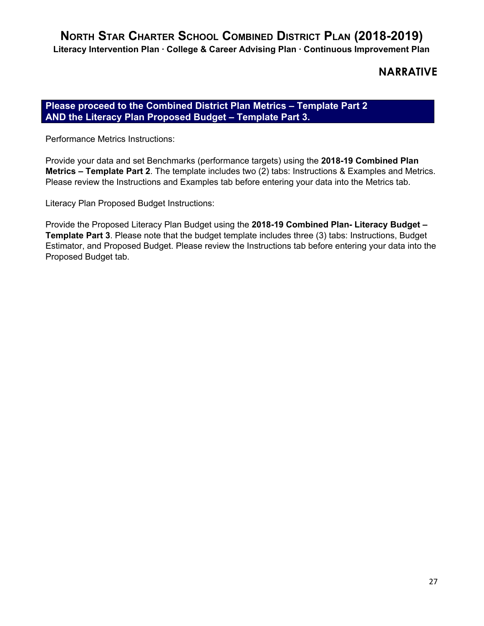## **NARRATIVE**

### **Please proceed to the Combined District Plan Metrics – Template Part 2 AND the Literacy Plan Proposed Budget – Template Part 3.**

Performance Metrics Instructions:

Provide your data and set Benchmarks (performance targets) using the **2018-19 Combined Plan Metrics – Template Part 2**. The template includes two (2) tabs: Instructions & Examples and Metrics. Please review the Instructions and Examples tab before entering your data into the Metrics tab.

Literacy Plan Proposed Budget Instructions:

Provide the Proposed Literacy Plan Budget using the **2018-19 Combined Plan- Literacy Budget – Template Part 3**. Please note that the budget template includes three (3) tabs: Instructions, Budget Estimator, and Proposed Budget. Please review the Instructions tab before entering your data into the Proposed Budget tab.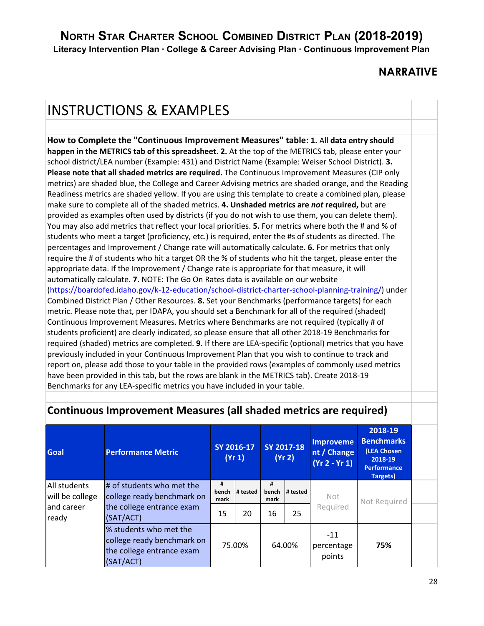## **NARRATIVE**

# INSTRUCTIONS & EXAMPLES

**How to Complete the "Continuous Improvement Measures" table: 1.** All **data entry should happen in the METRICS tab of this spreadsheet. 2.** At the top of the METRICS tab, please enter your school district/LEA number (Example: 431) and District Name (Example: Weiser School District). **3. Please note that all shaded metrics are required.** The Continuous Improvement Measures (CIP only metrics) are shaded blue, the College and Career Advising metrics are shaded orange, and the Reading Readiness metrics are shaded yellow. If you are using this template to create a combined plan, please make sure to complete all of the shaded metrics. **4. Unshaded metrics are** *not* **required,** but are provided as examples often used by districts (if you do not wish to use them, you can delete them). You may also add metrics that reflect your local priorities. **5.** For metrics where both the # and % of students who meet a target (proficiency, etc.) is required, enter the #s of students as directed. The percentages and Improvement / Change rate will automatically calculate. **6.** For metrics that only require the # of students who hit a target OR the % of students who hit the target, please enter the appropriate data. If the Improvement / Change rate is appropriate for that measure, it will automatically calculate. **7.** NOTE: The Go On Rates data is available on our website (https://boardofed.idaho.gov/k-12-education/school-district-charter-school-planning-training/) under Combined District Plan / Other Resources. **8.** Set your Benchmarks (performance targets) for each metric. Please note that, per IDAPA, you should set a Benchmark for all of the required (shaded) Continuous Improvement Measures. Metrics where Benchmarks are not required (typically # of students proficient) are clearly indicated, so please ensure that all other 2018-19 Benchmarks for required (shaded) metrics are completed. **9.** If there are LEA-specific (optional) metrics that you have previously included in your Continuous Improvement Plan that you wish to continue to track and report on, please add those to your table in the provided rows (examples of commonly used metrics have been provided in this tab, but the rows are blank in the METRICS tab). Create 2018-19 Benchmarks for any LEA-specific metrics you have included in your table.

| <b>Goal</b>                     | <b>Performance Metric</b>                                                                      |                    | SY 2016-17<br>(Yr 1) |                    | SY 2017-18<br>(Yr 2) | <b>Improveme</b><br>nt / Change<br>$(Yr 2 - Yr 1)$ | 2018-19<br><b>Benchmarks</b><br>(LEA Chosen<br>2018-19<br><b>Performance</b><br><b>Targets)</b> |  |
|---------------------------------|------------------------------------------------------------------------------------------------|--------------------|----------------------|--------------------|----------------------|----------------------------------------------------|-------------------------------------------------------------------------------------------------|--|
| All students<br>will be college | # of students who met the<br>college ready benchmark on                                        | #<br>bench<br>mark | # tested             | #<br>bench<br>mark | # tested             | Not                                                | Not Required                                                                                    |  |
| and career<br>ready             | the college entrance exam<br>(SAT/ACT)                                                         | 15                 | 20                   | 16                 | 25                   | Required                                           |                                                                                                 |  |
|                                 | % students who met the<br>college ready benchmark on<br>the college entrance exam<br>(SAT/ACT) |                    | 75.00%               |                    | 64.00%               | $-11$<br>percentage<br>points                      | 75%                                                                                             |  |

## **Continuous Improvement Measures (all shaded metrics are required)**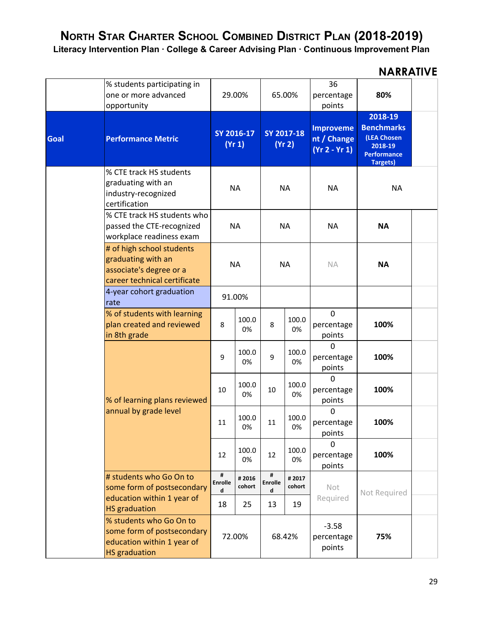**Literacy Intervention Plan · College & Career Advising Plan · Continuous Improvement Plan**

|      | % students participating in<br>one or more advanced<br>opportunity                                          |                          | 29.00%               |                          | 65.00%               | 36<br>percentage<br>points                         | 80%                                                                                             |  |
|------|-------------------------------------------------------------------------------------------------------------|--------------------------|----------------------|--------------------------|----------------------|----------------------------------------------------|-------------------------------------------------------------------------------------------------|--|
| Goal | <b>Performance Metric</b>                                                                                   |                          | SY 2016-17<br>(Yr 1) |                          | SY 2017-18<br>(Yr 2) | <b>Improveme</b><br>nt / Change<br>$(Yr 2 - Yr 1)$ | 2018-19<br><b>Benchmarks</b><br>(LEA Chosen<br>2018-19<br><b>Performance</b><br><b>Targets)</b> |  |
|      | % CTE track HS students<br>graduating with an<br>industry-recognized<br>certification                       |                          | <b>NA</b>            |                          | <b>NA</b>            | <b>NA</b>                                          | <b>NA</b>                                                                                       |  |
|      | % CTE track HS students who<br>passed the CTE-recognized<br>workplace readiness exam                        |                          | <b>NA</b>            |                          | <b>NA</b>            | <b>NA</b>                                          | <b>NA</b>                                                                                       |  |
|      | # of high school students<br>graduating with an<br>associate's degree or a<br>career technical certificate  |                          | <b>NA</b>            |                          | <b>NA</b>            | <b>NA</b>                                          | <b>NA</b>                                                                                       |  |
|      | 4-year cohort graduation<br>rate                                                                            |                          | 91.00%               |                          |                      |                                                    |                                                                                                 |  |
|      | % of students with learning<br>plan created and reviewed<br>in 8th grade                                    | 8                        | 100.0<br>0%          | 8                        | 100.0<br>0%          | $\mathbf 0$<br>percentage<br>points                | 100%                                                                                            |  |
|      |                                                                                                             | 9                        | 100.0<br>0%          | 9                        | 100.0<br>0%          | 0<br>percentage<br>points                          | 100%                                                                                            |  |
|      | % of learning plans reviewed                                                                                | 10                       | 100.0<br>0%          | 10                       | 100.0<br>0%          | $\Omega$<br>percentage<br>points                   | 100%                                                                                            |  |
|      | annual by grade level                                                                                       | 11                       | 100.0<br>0%          | 11                       | 100.0<br>0%          | 0<br>percentage<br>points                          | 100%                                                                                            |  |
|      |                                                                                                             | 12                       | 100.0<br>0%          | 12                       | 100.0<br>0%          | $\Omega$<br>percentage<br>points                   | 100%                                                                                            |  |
|      | # students who Go On to<br>some form of postsecondary<br>education within 1 year of                         | #<br><b>Enrolle</b><br>d | #2016<br>cohort      | #<br><b>Enrolle</b><br>d | #2017<br>cohort      | Not<br>Required                                    | Not Required                                                                                    |  |
|      | <b>HS</b> graduation                                                                                        | 18                       | 25                   | 13                       | 19                   |                                                    |                                                                                                 |  |
|      | % students who Go On to<br>some form of postsecondary<br>education within 1 year of<br><b>HS</b> graduation |                          | 72.00%               |                          | 68.42%               | $-3.58$<br>percentage<br>points                    | 75%                                                                                             |  |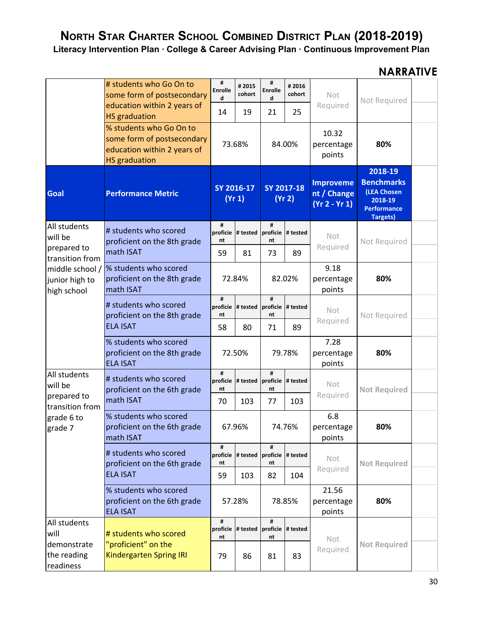**Literacy Intervention Plan · College & Career Advising Plan · Continuous Improvement Plan**

|                                                  | # students who Go On to<br>some form of postsecondary                                                        | #<br><b>Enrolle</b><br>d | #2015<br>cohort                     | #<br><b>Enrolle</b><br>d | #2016<br>cohort      | Not                                                | Not Required                                                                             |  |
|--------------------------------------------------|--------------------------------------------------------------------------------------------------------------|--------------------------|-------------------------------------|--------------------------|----------------------|----------------------------------------------------|------------------------------------------------------------------------------------------|--|
|                                                  | education within 2 years of<br><b>HS</b> graduation                                                          | 14                       | 19                                  | 21                       | 25                   | Required                                           |                                                                                          |  |
|                                                  | % students who Go On to<br>some form of postsecondary<br>education within 2 years of<br><b>HS</b> graduation |                          | 73.68%                              |                          | 84.00%               | 10.32<br>percentage<br>points                      | 80%                                                                                      |  |
| <b>Goal</b>                                      | <b>Performance Metric</b>                                                                                    |                          | SY 2016-17<br>(Yr 1)                |                          | SY 2017-18<br>(Yr 2) | <b>Improveme</b><br>nt / Change<br>$(Yr 2 - Yr 1)$ | 2018-19<br><b>Benchmarks</b><br>(LEA Chosen<br>2018-19<br><b>Performance</b><br>Targets) |  |
| All students<br>will be                          | # students who scored<br>proficient on the 8th grade                                                         | #<br>proficie<br>nt      | # tested proficie                   | #<br>nt                  | # tested             | Not                                                | Not Required                                                                             |  |
| prepared to<br>transition from                   | math ISAT                                                                                                    | 59                       | 81                                  | 73                       | 89                   | Required                                           |                                                                                          |  |
| middle school /<br>junior high to<br>high school | % students who scored<br>proficient on the 8th grade<br>math ISAT                                            |                          | 72.84%                              |                          | 82.02%               | 9.18<br>percentage<br>points                       | 80%                                                                                      |  |
|                                                  | # students who scored<br>proficient on the 8th grade<br><b>ELA ISAT</b>                                      | #<br>proficie<br>nt      | # tested $ $ proficie $ $ # tested  | #<br>nt                  |                      | Not                                                | Not Required                                                                             |  |
|                                                  |                                                                                                              | 58                       | 80                                  | 71                       | 89                   | Required                                           |                                                                                          |  |
|                                                  | % students who scored<br>proficient on the 8th grade<br><b>ELA ISAT</b>                                      |                          | 72.50%                              |                          | 79.78%               | 7.28<br>percentage<br>points                       | 80%                                                                                      |  |
| All students<br>will be                          | # students who scored<br>proficient on the 6th grade                                                         | #<br>nt                  | proficie # tested proficie # tested | #<br>nt                  |                      | Not                                                | <b>Not Required</b>                                                                      |  |
| prepared to<br>transition from                   | math ISAT                                                                                                    | 70                       | 103                                 | 77                       | 103                  | Required                                           |                                                                                          |  |
| grade 6 to<br>grade 7                            | % students who scored<br>proficient on the 6th grade<br>math ISAT                                            | 67.96%                   |                                     | 74.76%                   |                      | 6.8<br>percentage<br>points                        | 80%                                                                                      |  |
|                                                  | # students who scored<br>proficient on the 6th grade                                                         | #<br>proficie<br>nt      | # tested proficie # tested          | #<br>nt                  |                      | Not<br>Required                                    | <b>Not Required</b>                                                                      |  |
|                                                  | <b>ELA ISAT</b>                                                                                              | 59                       | 103                                 | 82                       | 104                  |                                                    |                                                                                          |  |
|                                                  | % students who scored<br>proficient on the 6th grade<br><b>ELA ISAT</b>                                      |                          | 57.28%                              |                          | 78.85%               | 21.56<br>percentage<br>points                      | 80%                                                                                      |  |
| All students<br>will                             | # students who scored                                                                                        | #<br>nt                  | proficie # tested proficie # tested | #<br>nt                  |                      | Not                                                |                                                                                          |  |
| demonstrate<br>the reading<br>readiness          | "proficient" on the<br><b>Kindergarten Spring IRI</b>                                                        | 79                       | 86                                  | 81                       | 83                   | Required                                           | <b>Not Required</b>                                                                      |  |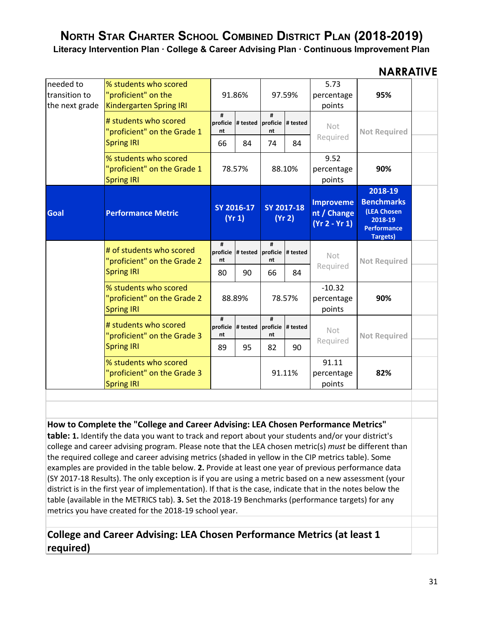**Literacy Intervention Plan · College & Career Advising Plan · Continuous Improvement Plan**

### **NARRATIVE**

| needed to<br>transition to<br>the next grade | % students who scored<br>"proficient" on the<br><b>Kindergarten Spring IRI</b> |                     | 91.86%                              |         | 97.59%               | 5.73<br>percentage<br>points                       | 95%                                                                                             |  |
|----------------------------------------------|--------------------------------------------------------------------------------|---------------------|-------------------------------------|---------|----------------------|----------------------------------------------------|-------------------------------------------------------------------------------------------------|--|
|                                              | # students who scored<br>"proficient" on the Grade 1                           | #<br>nt             | proficie # tested proficie # tested | #<br>nt |                      | <b>Not</b>                                         | <b>Not Required</b>                                                                             |  |
|                                              | <b>Spring IRI</b>                                                              | 66                  | 84                                  | 74      | 84                   | Required                                           |                                                                                                 |  |
|                                              | % students who scored<br>"proficient" on the Grade 1<br><b>Spring IRI</b>      |                     | 78.57%                              |         | 88.10%               | 9.52<br>percentage<br>points                       | 90%                                                                                             |  |
| <b>Goal</b>                                  | <b>Performance Metric</b>                                                      |                     | SY 2016-17<br>(Yr 1)                |         | SY 2017-18<br>(Yr 2) | <b>Improveme</b><br>nt / Change<br>$(Yr 2 - Yr 1)$ | 2018-19<br><b>Benchmarks</b><br>(LEA Chosen<br>2018-19<br><b>Performance</b><br><b>Targets)</b> |  |
|                                              | # of students who scored<br>"proficient" on the Grade 2                        | #<br>proficie<br>nt | # tested proficie # tested          | #<br>nt |                      | <b>Not</b>                                         | <b>Not Required</b>                                                                             |  |
|                                              | <b>Spring IRI</b>                                                              | 80                  | 90                                  | 66      | 84                   | Required                                           |                                                                                                 |  |
|                                              | % students who scored<br>"proficient" on the Grade 2<br><b>Spring IRI</b>      |                     | 88.89%                              |         | 78.57%               | $-10.32$<br>percentage<br>points                   | 90%                                                                                             |  |
|                                              | # students who scored<br>"proficient" on the Grade 3                           | #<br>nt             | proficie # tested proficie # tested | #<br>nt |                      | Not                                                | <b>Not Required</b>                                                                             |  |
|                                              | <b>Spring IRI</b>                                                              | 89                  | 95                                  | 82      | 90                   | Required                                           |                                                                                                 |  |
|                                              | % students who scored<br>"proficient" on the Grade 3<br><b>Spring IRI</b>      |                     |                                     |         | 91.11%               | 91.11<br>percentage<br>points                      | 82%                                                                                             |  |

**How to Complete the "College and Career Advising: LEA Chosen Performance Metrics"**

**table: 1.** Identify the data you want to track and report about your students and/or your district's college and career advising program. Please note that the LEA chosen metric(s) *must* be different than the required college and career advising metrics (shaded in yellow in the CIP metrics table). Some examples are provided in the table below. **2.** Provide at least one year of previous performance data (SY 2017-18 Results). The only exception is if you are using a metric based on a new assessment (your district is in the first year of implementation). If that is the case, indicate that in the notes below the table (available in the METRICS tab). **3.** Set the 2018-19 Benchmarks (performance targets) for any metrics you have created for the 2018-19 school year.

### **College and Career Advising: LEA Chosen Performance Metrics (at least 1 required)**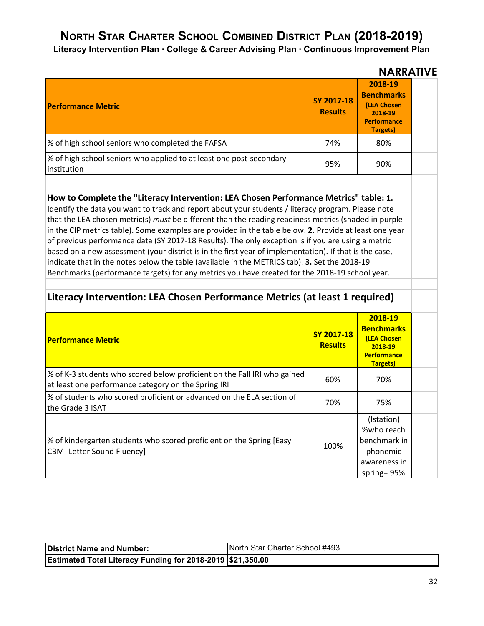**Literacy Intervention Plan · College & Career Advising Plan · Continuous Improvement Plan**

|                                                                                    |                              | <b>NARRATIVE</b>                                                                         |  |
|------------------------------------------------------------------------------------|------------------------------|------------------------------------------------------------------------------------------|--|
| <b>Performance Metric</b>                                                          | SY 2017-18<br><b>Results</b> | 2018-19<br><b>Benchmarks</b><br>(LEA Chosen<br>2018-19<br><b>Performance</b><br>Targets) |  |
| % of high school seniors who completed the FAFSA                                   | 74%                          | 80%                                                                                      |  |
| % of high school seniors who applied to at least one post-secondary<br>institution | 95%                          | 90%                                                                                      |  |

**How to Complete the "Literacy Intervention: LEA Chosen Performance Metrics" table: 1.** Identify the data you want to track and report about your students / literacy program. Please note that the LEA chosen metric(s) *must* be different than the reading readiness metrics (shaded in purple in the CIP metrics table). Some examples are provided in the table below. **2.** Provide at least one year of previous performance data (SY 2017-18 Results). The only exception is if you are using a metric based on a new assessment (your district is in the first year of implementation). If that is the case, indicate that in the notes below the table (available in the METRICS tab). **3.** Set the 2018-19 Benchmarks (performance targets) for any metrics you have created for the 2018-19 school year.

### **Literacy Intervention: LEA Chosen Performance Metrics (at least 1 required)**

| <b>Performance Metric</b>                                                                                                       | SY 2017-18<br><b>Results</b> | 2018-19<br><b>Benchmarks</b><br>(LEA Chosen<br>2018-19<br><b>Performance</b><br><b>Targets</b> ) |  |
|---------------------------------------------------------------------------------------------------------------------------------|------------------------------|--------------------------------------------------------------------------------------------------|--|
| % of K-3 students who scored below proficient on the Fall IRI who gained<br>at least one performance category on the Spring IRI | 60%                          | 70%                                                                                              |  |
| % of students who scored proficient or advanced on the ELA section of<br>the Grade 3 ISAT                                       | 70%                          | 75%                                                                                              |  |
| % of kindergarten students who scored proficient on the Spring [Easy<br><b>CBM-Letter Sound Fluency]</b>                        | 100%                         | (Istation)<br>%who reach<br>benchmark in<br>phonemic<br>awareness in<br>spring= $95%$            |  |

| <b>District Name and Number:</b>                           | North Star Charter School #493 |
|------------------------------------------------------------|--------------------------------|
| Estimated Total Literacy Funding for 2018-2019 \$21,350.00 |                                |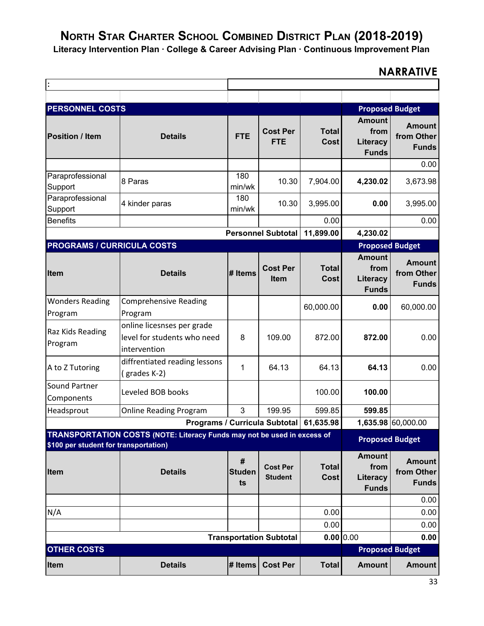**Literacy Intervention Plan · College & Career Advising Plan · Continuous Improvement Plan**

| <b>PERSONNEL COSTS</b>                                                                                                  |                                                                           |                             |                                   |                             | <b>Proposed Budget</b>                            |                                             |
|-------------------------------------------------------------------------------------------------------------------------|---------------------------------------------------------------------------|-----------------------------|-----------------------------------|-----------------------------|---------------------------------------------------|---------------------------------------------|
| <b>Position / Item</b>                                                                                                  | <b>Details</b>                                                            | <b>FTE</b>                  | <b>Cost Per</b><br><b>FTE</b>     | <b>Total</b><br>Cost        | <b>Amount</b><br>from<br>Literacy<br><b>Funds</b> | <b>Amount</b><br>from Other<br><b>Funds</b> |
|                                                                                                                         |                                                                           |                             |                                   |                             |                                                   | 0.00                                        |
| Paraprofessional<br>Support                                                                                             | 8 Paras                                                                   | 180<br>min/wk               | 10.30                             | 7,904.00                    | 4,230.02                                          | 3,673.98                                    |
| Paraprofessional<br>Support                                                                                             | 4 kinder paras                                                            | 180<br>min/wk               | 10.30                             | 3,995.00                    | 0.00                                              | 3,995.00                                    |
| <b>Benefits</b>                                                                                                         |                                                                           |                             |                                   | 0.00                        |                                                   | 0.00                                        |
|                                                                                                                         |                                                                           |                             | <b>Personnel Subtotal</b>         | 11,899.00                   | 4,230.02                                          |                                             |
| <b>PROGRAMS / CURRICULA COSTS</b>                                                                                       |                                                                           |                             |                                   |                             | <b>Proposed Budget</b>                            |                                             |
| <b>Item</b>                                                                                                             | <b>Details</b>                                                            | # Items                     | <b>Cost Per</b><br><b>Item</b>    | <b>Total</b><br>Cost        | <b>Amount</b><br>from<br>Literacy<br><b>Funds</b> | <b>Amount</b><br>from Other<br><b>Funds</b> |
| <b>Wonders Reading</b><br>Program                                                                                       | <b>Comprehensive Reading</b><br>Program                                   |                             |                                   | 60,000.00                   | 0.00                                              | 60,000.00                                   |
| Raz Kids Reading<br>Program                                                                                             | online licesnses per grade<br>level for students who need<br>intervention | 8                           | 109.00                            | 872.00                      | 872.00                                            | 0.00                                        |
| A to Z Tutoring                                                                                                         | diffrentiated reading lessons<br>(grades K-2)                             | 1                           | 64.13                             | 64.13                       | 64.13                                             | 0.00                                        |
| Sound Partner<br>Components                                                                                             | Leveled BOB books                                                         |                             |                                   | 100.00                      | 100.00                                            |                                             |
| Headsprout                                                                                                              | <b>Online Reading Program</b>                                             | 3                           | 199.95                            | 599.85                      | 599.85                                            |                                             |
|                                                                                                                         | Programs / Curricula Subtotal                                             |                             |                                   | 61,635.98                   |                                                   | 1,635.98 60,000.00                          |
| <b>TRANSPORTATION COSTS (NOTE: Literacy Funds may not be used in excess of</b><br>\$100 per student for transportation) |                                                                           |                             |                                   |                             | <b>Proposed Budget</b>                            |                                             |
| Item                                                                                                                    | <b>Details</b>                                                            | $\#$<br><b>Studen</b><br>ts | <b>Cost Per</b><br><b>Student</b> | <b>Total</b><br><b>Cost</b> | <b>Amount</b><br>from<br>Literacy<br><b>Funds</b> | <b>Amount</b><br>from Other<br><b>Funds</b> |
|                                                                                                                         |                                                                           |                             |                                   |                             |                                                   | 0.00                                        |
| N/A                                                                                                                     |                                                                           |                             |                                   | 0.00                        |                                                   | 0.00                                        |
|                                                                                                                         |                                                                           |                             |                                   | 0.00                        |                                                   | 0.00<br>0.00                                |
| 0.00 0.00<br><b>Transportation Subtotal</b><br><b>OTHER COSTS</b><br><b>Proposed Budget</b>                             |                                                                           |                             |                                   |                             |                                                   |                                             |
|                                                                                                                         |                                                                           |                             |                                   |                             |                                                   |                                             |
| Item                                                                                                                    | <b>Details</b>                                                            | # Items                     | <b>Cost Per</b>                   | <b>Total</b>                | <b>Amount</b>                                     | <b>Amount</b>                               |